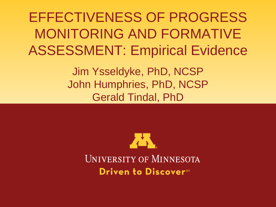EFFECTIVENESS OF PROGRESS MONITORING AND FORMATIVE ASSESSMENT: Empirical Evidence

> Jim Ysseldyke, PhD, NCSP John Humphries, PhD, NCSP Gerald Tindal, PhD

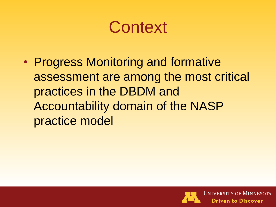#### **Context**

• Progress Monitoring and formative assessment are among the most critical practices in the DBDM and Accountability domain of the NASP practice model

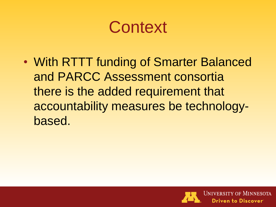#### **Context**

• With RTTT funding of Smarter Balanced and PARCC Assessment consortia there is the added requirement that accountability measures be technologybased.

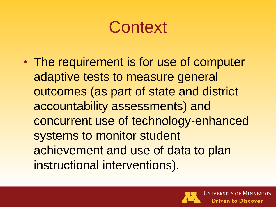#### **Context**

• The requirement is for use of computer adaptive tests to measure general outcomes (as part of state and district accountability assessments) and concurrent use of technology-enhanced systems to monitor student achievement and use of data to plan instructional interventions).

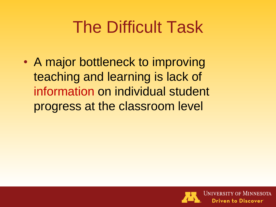# The Difficult Task

• A major bottleneck to improving teaching and learning is lack of information on individual student progress at the classroom level

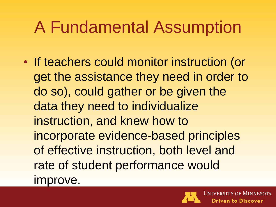## A Fundamental Assumption

• If teachers could monitor instruction (or get the assistance they need in order to do so), could gather or be given the data they need to individualize instruction, and knew how to incorporate evidence-based principles of effective instruction, both level and rate of student performance would improve.

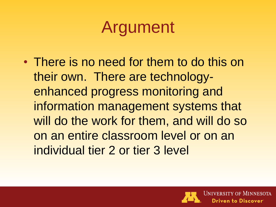#### Argument

• There is no need for them to do this on their own. There are technologyenhanced progress monitoring and information management systems that will do the work for them, and will do so on an entire classroom level or on an individual tier 2 or tier 3 level

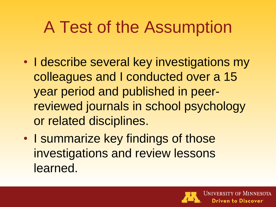## A Test of the Assumption

- I describe several key investigations my colleagues and I conducted over a 15 year period and published in peerreviewed journals in school psychology or related disciplines.
- I summarize key findings of those investigations and review lessons learned.

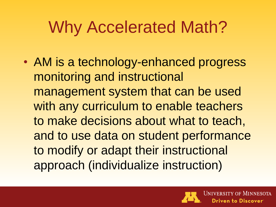# Why Accelerated Math?

• AM is a technology-enhanced progress monitoring and instructional management system that can be used with any curriculum to enable teachers to make decisions about what to teach, and to use data on student performance to modify or adapt their instructional approach (individualize instruction)

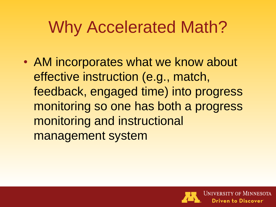# Why Accelerated Math?

• AM incorporates what we know about effective instruction (e.g., match, feedback, engaged time) into progress monitoring so one has both a progress monitoring and instructional management system

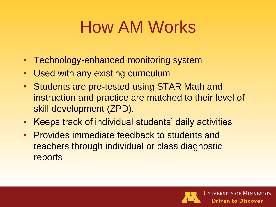# How AM Works

- Technology-enhanced monitoring system
- Used with any existing curriculum
- Students are pre-tested using STAR Math and instruction and practice are matched to their level of skill development (ZPD).
- Keeps track of individual students' daily activities
- Provides immediate feedback to students and teachers through individual or class diagnostic reports

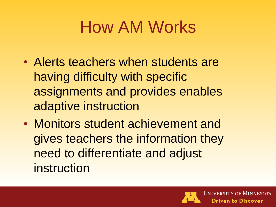# How AM Works

- Alerts teachers when students are having difficulty with specific assignments and provides enables adaptive instruction
- Monitors student achievement and gives teachers the information they need to differentiate and adjust instruction

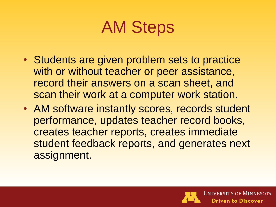#### AM Steps

- Students are given problem sets to practice with or without teacher or peer assistance, record their answers on a scan sheet, and scan their work at a computer work station.
- AM software instantly scores, records student performance, updates teacher record books, creates teacher reports, creates immediate student feedback reports, and generates next assignment.

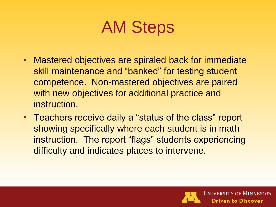#### AM Steps

- Mastered objectives are spiraled back for immediate skill maintenance and "banked" for testing student competence. Non-mastered objectives are paired with new objectives for additional practice and instruction.
- Teachers receive daily a "status of the class" report showing specifically where each student is in math instruction. The report "flags" students experiencing difficulty and indicates places to intervene.

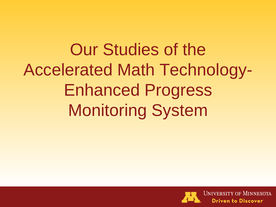Our Studies of the Accelerated Math Technology-Enhanced Progress Monitoring System

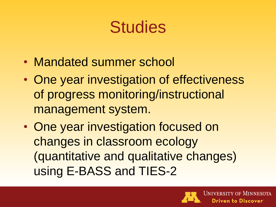- Mandated summer school
- One year investigation of effectiveness of progress monitoring/instructional management system.
- One year investigation focused on changes in classroom ecology (quantitative and qualitative changes) using E-BASS and TIES-2

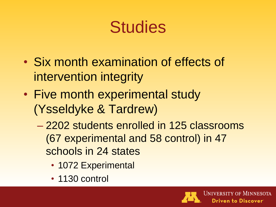- Six month examination of effects of intervention integrity
- Five month experimental study (Ysseldyke & Tardrew)
	- 2202 students enrolled in 125 classrooms (67 experimental and 58 control) in 47 schools in 24 states
		- 1072 Experimental
		- 1130 control

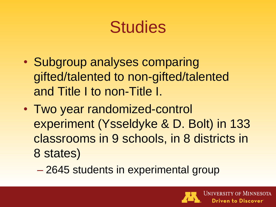- Subgroup analyses comparing gifted/talented to non-gifted/talented and Title I to non-Title I.
- Two year randomized-control experiment (Ysseldyke & D. Bolt) in 133 classrooms in 9 schools, in 8 districts in 8 states)
	- 2645 students in experimental group

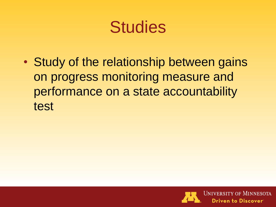• Study of the relationship between gains on progress monitoring measure and performance on a state accountability test

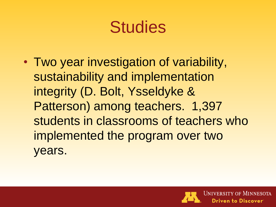• Two year investigation of variability, sustainability and implementation integrity (D. Bolt, Ysseldyke & Patterson) among teachers. 1,397 students in classrooms of teachers who implemented the program over two years.

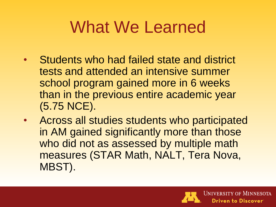- Students who had failed state and district tests and attended an intensive summer school program gained more in 6 weeks than in the previous entire academic year (5.75 NCE).
- Across all studies students who participated in AM gained significantly more than those who did not as assessed by multiple math measures (STAR Math, NALT, Tera Nova, MBST).

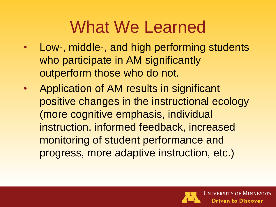- Low-, middle-, and high performing students who participate in AM significantly outperform those who do not.
- Application of AM results in significant positive changes in the instructional ecology (more cognitive emphasis, individual instruction, informed feedback, increased monitoring of student performance and progress, more adaptive instruction, etc.)

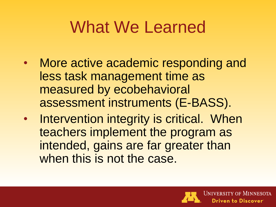- More active academic responding and less task management time as measured by ecobehavioral assessment instruments (E-BASS).
- Intervention integrity is critical. When teachers implement the program as intended, gains are far greater than when this is not the case.

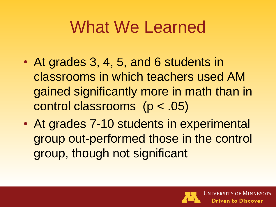- At grades 3, 4, 5, and 6 students in classrooms in which teachers used AM gained significantly more in math than in control classrooms (p < .05)
- At grades 7-10 students in experimental group out-performed those in the control group, though not significant

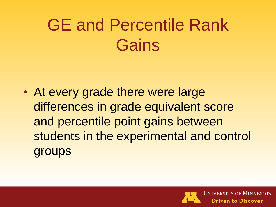# GE and Percentile Rank **Gains**

• At every grade there were large differences in grade equivalent score and percentile point gains between students in the experimental and control groups

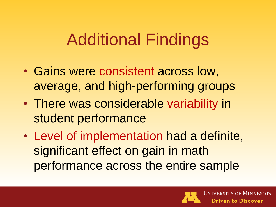#### Additional Findings

- Gains were consistent across low, average, and high-performing groups
- There was considerable variability in student performance
- Level of implementation had a definite, significant effect on gain in math performance across the entire sample

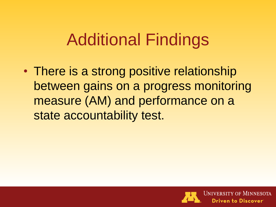#### Additional Findings

• There is a strong positive relationship between gains on a progress monitoring measure (AM) and performance on a state accountability test.

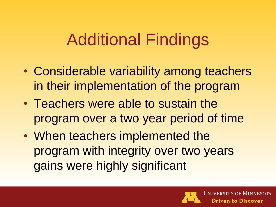### Additional Findings

- Considerable variability among teachers in their implementation of the program
- Teachers were able to sustain the program over a two year period of time
- When teachers implemented the program with integrity over two years gains were highly significant

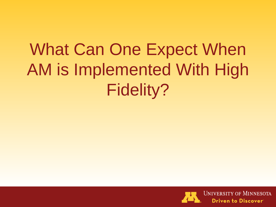# What Can One Expect When AM is Implemented With High Fidelity?

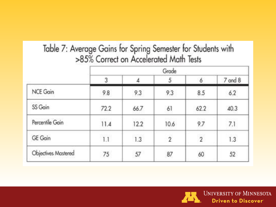# Table 7: Average Gains for Spring Semester for Students with<br>>85% Correct on Accelerated Math Tests

|                            | Grade |      |                |                |         |  |
|----------------------------|-------|------|----------------|----------------|---------|--|
|                            | 3     |      | 5              | 6              | 7 and 8 |  |
| NCE Gain                   | 9.8   | 9.3  | 9.3            | 8.5            | 6.2     |  |
| SS Gain                    | 72.2  | 66.7 | 61             | 62.2           | 40.3    |  |
| Percentile Gain            | 11.4  | 12.2 | 10.6           | 9.7            | 7.1     |  |
| GE Gain                    | 1.1   | 1.3  | $\overline{2}$ | $\overline{2}$ | 1.3     |  |
| <b>Objectives Mastered</b> | 75    | 57   | 87             | 60             | 52      |  |

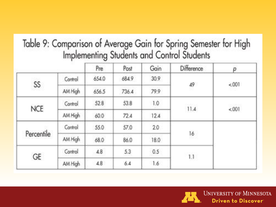# Table 9: Comparison of Average Gain for Spring Semester for High<br>Implementing Students and Control Students

|            | an a    | Pre   | Post  | Gain | Difference               | p     |
|------------|---------|-------|-------|------|--------------------------|-------|
| SS         | Control | 654.0 | 684.9 | 30.9 | 49                       | &001  |
|            | AM High | 656.5 | 736.4 | 79.9 |                          |       |
| <b>NCE</b> | Control | 52.8  | 53.8  | 1.0  | <b>CONSTRUCT</b><br>11.4 | nower |
|            | AM High | 60.0  | 72.4  | 12.4 |                          | &001  |
| Percentile | Control | 55.0  | 57.0  | 2.0  | 16                       |       |
|            | AM High | 68.0  | 86.0  | 18.0 |                          |       |
| GE         | Control | 4.8   | 5.3   | 0.5  | 1.1                      |       |
|            | AM High | 4.8   | 6.4   | 1.6  |                          |       |

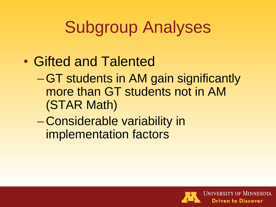# Subgroup Analyses

- Gifted and Talented
	- –GT students in AM gain significantly more than GT students not in AM (STAR Math)
	- Considerable variability in implementation factors

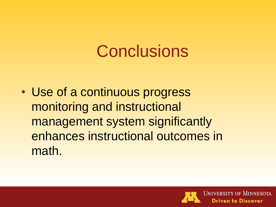# **Conclusions**

• Use of a continuous progress monitoring and instructional management system significantly enhances instructional outcomes in math.

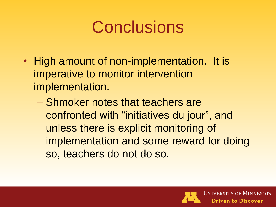## **Conclusions**

- High amount of non-implementation. It is imperative to monitor intervention implementation.
	- Shmoker notes that teachers are confronted with "initiatives du jour", and unless there is explicit monitoring of implementation and some reward for doing so, teachers do not do so.

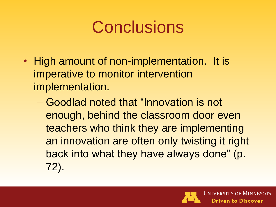## **Conclusions**

- High amount of non-implementation. It is imperative to monitor intervention implementation.
	- Goodlad noted that "Innovation is not enough, behind the classroom door even teachers who think they are implementing an innovation are often only twisting it right back into what they have always done" (p. 72).